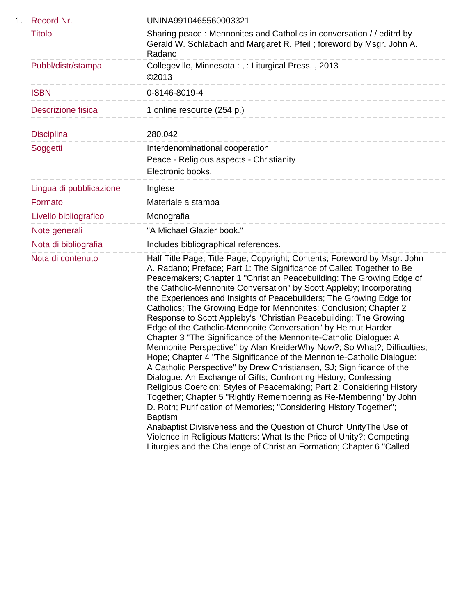| 1. | Record Nr.                | UNINA9910465560003321                                                                                                                                                                                                                                                                                                                                                                                                                                                                                                                                                                                                                                                                                                                                                                                                                                                                                                                                                                                                                                                                                                                                                                                                                                                                                                                                                                                                    |
|----|---------------------------|--------------------------------------------------------------------------------------------------------------------------------------------------------------------------------------------------------------------------------------------------------------------------------------------------------------------------------------------------------------------------------------------------------------------------------------------------------------------------------------------------------------------------------------------------------------------------------------------------------------------------------------------------------------------------------------------------------------------------------------------------------------------------------------------------------------------------------------------------------------------------------------------------------------------------------------------------------------------------------------------------------------------------------------------------------------------------------------------------------------------------------------------------------------------------------------------------------------------------------------------------------------------------------------------------------------------------------------------------------------------------------------------------------------------------|
|    | <b>Titolo</b>             | Sharing peace: Mennonites and Catholics in conversation // editrd by<br>Gerald W. Schlabach and Margaret R. Pfeil; foreword by Msgr. John A.<br>Radano                                                                                                                                                                                                                                                                                                                                                                                                                                                                                                                                                                                                                                                                                                                                                                                                                                                                                                                                                                                                                                                                                                                                                                                                                                                                   |
|    | Pubbl/distr/stampa        | Collegeville, Minnesota:,: Liturgical Press,, 2013<br>©2013                                                                                                                                                                                                                                                                                                                                                                                                                                                                                                                                                                                                                                                                                                                                                                                                                                                                                                                                                                                                                                                                                                                                                                                                                                                                                                                                                              |
|    | <b>ISBN</b>               | 0-8146-8019-4<br>--------------------                                                                                                                                                                                                                                                                                                                                                                                                                                                                                                                                                                                                                                                                                                                                                                                                                                                                                                                                                                                                                                                                                                                                                                                                                                                                                                                                                                                    |
|    | <b>Descrizione fisica</b> | 1 online resource (254 p.)                                                                                                                                                                                                                                                                                                                                                                                                                                                                                                                                                                                                                                                                                                                                                                                                                                                                                                                                                                                                                                                                                                                                                                                                                                                                                                                                                                                               |
|    | <b>Disciplina</b>         | 280.042                                                                                                                                                                                                                                                                                                                                                                                                                                                                                                                                                                                                                                                                                                                                                                                                                                                                                                                                                                                                                                                                                                                                                                                                                                                                                                                                                                                                                  |
|    | Soggetti                  | Interdenominational cooperation<br>Peace - Religious aspects - Christianity<br>Electronic books.<br>---------------                                                                                                                                                                                                                                                                                                                                                                                                                                                                                                                                                                                                                                                                                                                                                                                                                                                                                                                                                                                                                                                                                                                                                                                                                                                                                                      |
|    | Lingua di pubblicazione   | Inglese<br>-----------------------------                                                                                                                                                                                                                                                                                                                                                                                                                                                                                                                                                                                                                                                                                                                                                                                                                                                                                                                                                                                                                                                                                                                                                                                                                                                                                                                                                                                 |
|    | Formato                   | Materiale a stampa<br>______________________________                                                                                                                                                                                                                                                                                                                                                                                                                                                                                                                                                                                                                                                                                                                                                                                                                                                                                                                                                                                                                                                                                                                                                                                                                                                                                                                                                                     |
|    | Livello bibliografico     | Monografia                                                                                                                                                                                                                                                                                                                                                                                                                                                                                                                                                                                                                                                                                                                                                                                                                                                                                                                                                                                                                                                                                                                                                                                                                                                                                                                                                                                                               |
|    | Note generali             | "A Michael Glazier book."                                                                                                                                                                                                                                                                                                                                                                                                                                                                                                                                                                                                                                                                                                                                                                                                                                                                                                                                                                                                                                                                                                                                                                                                                                                                                                                                                                                                |
|    | Nota di bibliografia      | Includes bibliographical references.                                                                                                                                                                                                                                                                                                                                                                                                                                                                                                                                                                                                                                                                                                                                                                                                                                                                                                                                                                                                                                                                                                                                                                                                                                                                                                                                                                                     |
|    | Nota di contenuto         | Half Title Page; Title Page; Copyright; Contents; Foreword by Msgr. John<br>A. Radano; Preface; Part 1: The Significance of Called Together to Be<br>Peacemakers; Chapter 1 "Christian Peacebuilding: The Growing Edge of<br>the Catholic-Mennonite Conversation" by Scott Appleby; Incorporating<br>the Experiences and Insights of Peacebuilders; The Growing Edge for<br>Catholics; The Growing Edge for Mennonites; Conclusion; Chapter 2<br>Response to Scott Appleby's "Christian Peacebuilding: The Growing<br>Edge of the Catholic-Mennonite Conversation" by Helmut Harder<br>Chapter 3 "The Significance of the Mennonite-Catholic Dialogue: A<br>Mennonite Perspective" by Alan KreiderWhy Now?; So What?; Difficulties;<br>Hope; Chapter 4 "The Significance of the Mennonite-Catholic Dialogue:<br>A Catholic Perspective" by Drew Christiansen, SJ; Significance of the<br>Dialogue: An Exchange of Gifts; Confronting History; Confessing<br>Religious Coercion; Styles of Peacemaking; Part 2: Considering History<br>Together; Chapter 5 "Rightly Remembering as Re-Membering" by John<br>D. Roth; Purification of Memories; "Considering History Together";<br><b>Baptism</b><br>Anabaptist Divisiveness and the Question of Church Unity The Use of<br>Violence in Religious Matters: What Is the Price of Unity?; Competing<br>Liturgies and the Challenge of Christian Formation; Chapter 6 "Called |